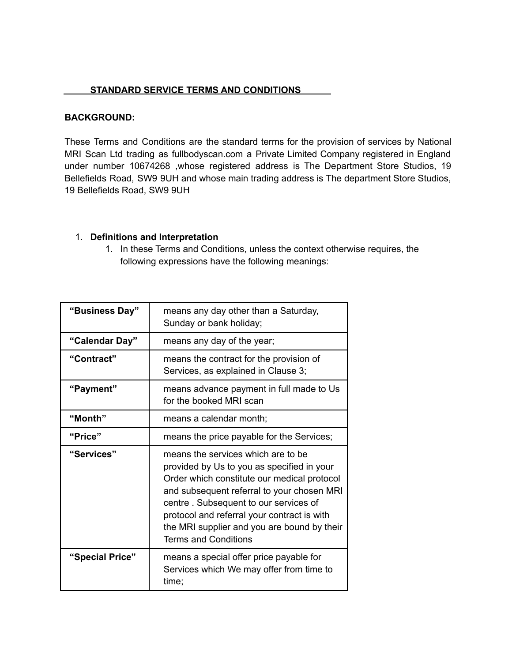#### **STANDARD SERVICE TERMS AND CONDITIONS**

#### **BACKGROUND:**

These Terms and Conditions are the standard terms for the provision of services by National MRI Scan Ltd trading as fullbodyscan.com a Private Limited Company registered in England under number 10674268 ,whose registered address is The Department Store Studios, 19 Bellefields Road, SW9 9UH and whose main trading address is The department Store Studios, 19 Bellefields Road, SW9 9UH

#### 1. **Definitions and Interpretation**

1. In these Terms and Conditions, unless the context otherwise requires, the following expressions have the following meanings:

| "Business Day" | means any day other than a Saturday,<br>Sunday or bank holiday;                                                                                                                                                                                                                                                                                     |
|----------------|-----------------------------------------------------------------------------------------------------------------------------------------------------------------------------------------------------------------------------------------------------------------------------------------------------------------------------------------------------|
| "Calendar Day" | means any day of the year;                                                                                                                                                                                                                                                                                                                          |
| "Contract"     | means the contract for the provision of<br>Services, as explained in Clause 3;                                                                                                                                                                                                                                                                      |
| "Payment"      | means advance payment in full made to Us<br>for the booked MRI scan                                                                                                                                                                                                                                                                                 |
| "Month"        | means a calendar month;                                                                                                                                                                                                                                                                                                                             |
| "Price"        | means the price payable for the Services;                                                                                                                                                                                                                                                                                                           |
|                |                                                                                                                                                                                                                                                                                                                                                     |
| "Services"     | means the services which are to be<br>provided by Us to you as specified in your<br>Order which constitute our medical protocol<br>and subsequent referral to your chosen MRI<br>centre. Subsequent to our services of<br>protocol and referral your contract is with<br>the MRI supplier and you are bound by their<br><b>Terms and Conditions</b> |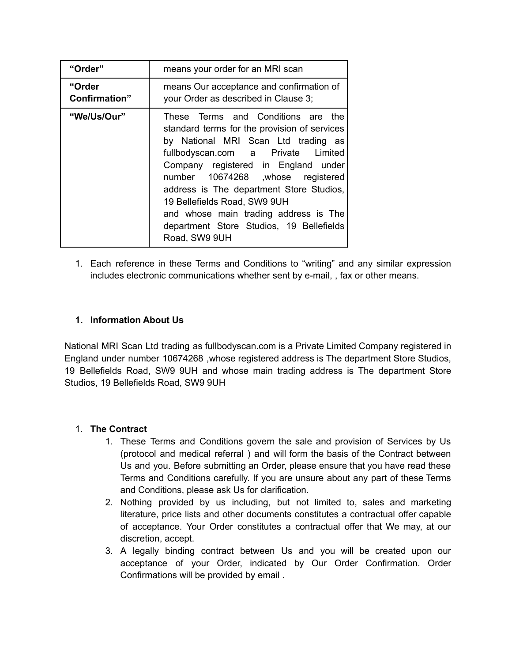| "Order"                         | means your order for an MRI scan                                                                                                                                                                                                                                                                                                                                                                                              |
|---------------------------------|-------------------------------------------------------------------------------------------------------------------------------------------------------------------------------------------------------------------------------------------------------------------------------------------------------------------------------------------------------------------------------------------------------------------------------|
| "Order<br><b>Confirmation</b> " | means Our acceptance and confirmation of<br>your Order as described in Clause 3;                                                                                                                                                                                                                                                                                                                                              |
| "We/Us/Our"                     | These Terms and Conditions are the<br>standard terms for the provision of services<br>by National MRI Scan Ltd trading as<br>fullbodyscan.com a Private Limited<br>Company registered in England under<br>number 10674268 ,whose registered<br>address is The department Store Studios,<br>19 Bellefields Road, SW9 9UH<br>and whose main trading address is The<br>department Store Studios, 19 Bellefields<br>Road, SW9 9UH |

1. Each reference in these Terms and Conditions to "writing" and any similar expression includes electronic communications whether sent by e-mail, , fax or other means.

# **1. Information About Us**

National MRI Scan Ltd trading as fullbodyscan.com is a Private Limited Company registered in England under number 10674268 ,whose registered address is The department Store Studios, 19 Bellefields Road, SW9 9UH and whose main trading address is The department Store Studios, 19 Bellefields Road, SW9 9UH

## 1. **The Contract**

- 1. These Terms and Conditions govern the sale and provision of Services by Us (protocol and medical referral ) and will form the basis of the Contract between Us and you. Before submitting an Order, please ensure that you have read these Terms and Conditions carefully. If you are unsure about any part of these Terms and Conditions, please ask Us for clarification.
- 2. Nothing provided by us including, but not limited to, sales and marketing literature, price lists and other documents constitutes a contractual offer capable of acceptance. Your Order constitutes a contractual offer that We may, at our discretion, accept.
- 3. A legally binding contract between Us and you will be created upon our acceptance of your Order, indicated by Our Order Confirmation. Order Confirmations will be provided by email .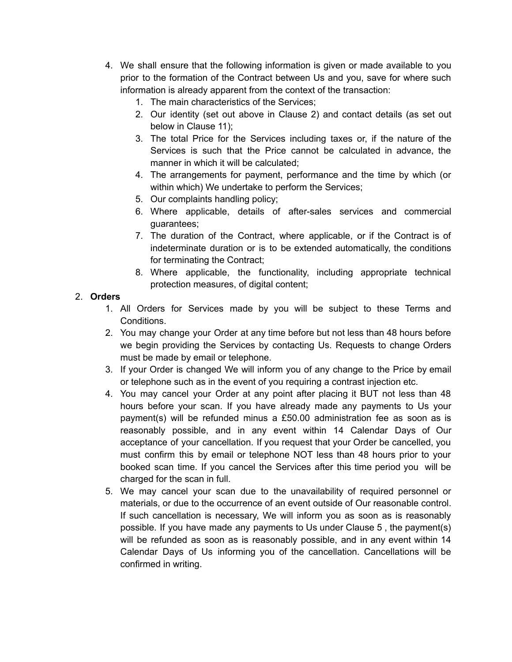- 4. We shall ensure that the following information is given or made available to you prior to the formation of the Contract between Us and you, save for where such information is already apparent from the context of the transaction:
	- 1. The main characteristics of the Services;
	- 2. Our identity (set out above in Clause 2) and contact details (as set out below in Clause 11);
	- 3. The total Price for the Services including taxes or, if the nature of the Services is such that the Price cannot be calculated in advance, the manner in which it will be calculated;
	- 4. The arrangements for payment, performance and the time by which (or within which) We undertake to perform the Services;
	- 5. Our complaints handling policy;
	- 6. Where applicable, details of after-sales services and commercial guarantees;
	- 7. The duration of the Contract, where applicable, or if the Contract is of indeterminate duration or is to be extended automatically, the conditions for terminating the Contract;
	- 8. Where applicable, the functionality, including appropriate technical protection measures, of digital content;

# 2. **Orders**

- 1. All Orders for Services made by you will be subject to these Terms and Conditions.
- 2. You may change your Order at any time before but not less than 48 hours before we begin providing the Services by contacting Us. Requests to change Orders must be made by email or telephone.
- 3. If your Order is changed We will inform you of any change to the Price by email or telephone such as in the event of you requiring a contrast injection etc.
- 4. You may cancel your Order at any point after placing it BUT not less than 48 hours before your scan. If you have already made any payments to Us your payment(s) will be refunded minus a £50.00 administration fee as soon as is reasonably possible, and in any event within 14 Calendar Days of Our acceptance of your cancellation. If you request that your Order be cancelled, you must confirm this by email or telephone NOT less than 48 hours prior to your booked scan time. If you cancel the Services after this time period you will be charged for the scan in full.
- 5. We may cancel your scan due to the unavailability of required personnel or materials, or due to the occurrence of an event outside of Our reasonable control. If such cancellation is necessary, We will inform you as soon as is reasonably possible. If you have made any payments to Us under Clause 5 , the payment(s) will be refunded as soon as is reasonably possible, and in any event within 14 Calendar Days of Us informing you of the cancellation. Cancellations will be confirmed in writing.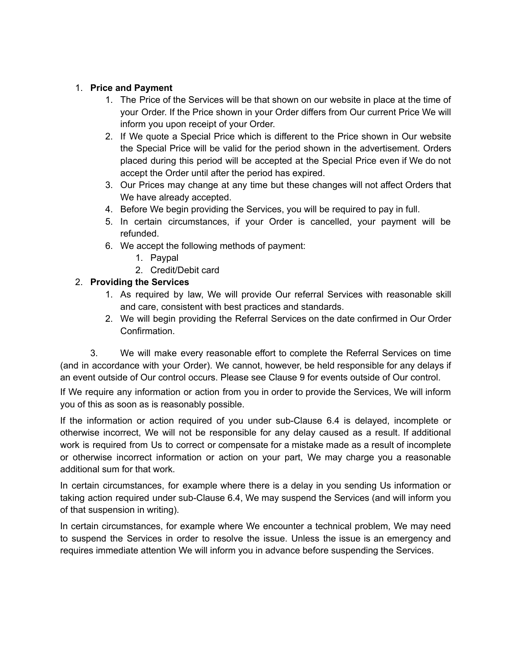#### 1. **Price and Payment**

- 1. The Price of the Services will be that shown on our website in place at the time of your Order. If the Price shown in your Order differs from Our current Price We will inform you upon receipt of your Order.
- 2. If We quote a Special Price which is different to the Price shown in Our website the Special Price will be valid for the period shown in the advertisement. Orders placed during this period will be accepted at the Special Price even if We do not accept the Order until after the period has expired.
- 3. Our Prices may change at any time but these changes will not affect Orders that We have already accepted.
- 4. Before We begin providing the Services, you will be required to pay in full.
- 5. In certain circumstances, if your Order is cancelled, your payment will be refunded.
- 6. We accept the following methods of payment:
	- 1. Paypal
	- 2. Credit/Debit card

## 2. **Providing the Services**

- 1. As required by law, We will provide Our referral Services with reasonable skill and care, consistent with best practices and standards.
- 2. We will begin providing the Referral Services on the date confirmed in Our Order Confirmation.

3. We will make every reasonable effort to complete the Referral Services on time (and in accordance with your Order). We cannot, however, be held responsible for any delays if an event outside of Our control occurs. Please see Clause 9 for events outside of Our control.

If We require any information or action from you in order to provide the Services, We will inform you of this as soon as is reasonably possible.

If the information or action required of you under sub-Clause 6.4 is delayed, incomplete or otherwise incorrect, We will not be responsible for any delay caused as a result. If additional work is required from Us to correct or compensate for a mistake made as a result of incomplete or otherwise incorrect information or action on your part, We may charge you a reasonable additional sum for that work.

In certain circumstances, for example where there is a delay in you sending Us information or taking action required under sub-Clause 6.4, We may suspend the Services (and will inform you of that suspension in writing).

In certain circumstances, for example where We encounter a technical problem, We may need to suspend the Services in order to resolve the issue. Unless the issue is an emergency and requires immediate attention We will inform you in advance before suspending the Services.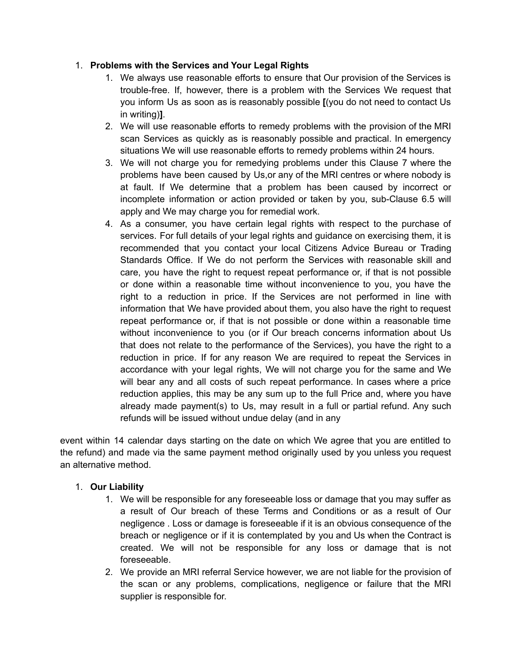## 1. **Problems with the Services and Your Legal Rights**

- 1. We always use reasonable efforts to ensure that Our provision of the Services is trouble-free. If, however, there is a problem with the Services We request that you inform Us as soon as is reasonably possible **[**(you do not need to contact Us in writing)**]**.
- 2. We will use reasonable efforts to remedy problems with the provision of the MRI scan Services as quickly as is reasonably possible and practical. In emergency situations We will use reasonable efforts to remedy problems within 24 hours.
- 3. We will not charge you for remedying problems under this Clause 7 where the problems have been caused by Us,or any of the MRI centres or where nobody is at fault. If We determine that a problem has been caused by incorrect or incomplete information or action provided or taken by you, sub-Clause 6.5 will apply and We may charge you for remedial work.
- 4. As a consumer, you have certain legal rights with respect to the purchase of services. For full details of your legal rights and guidance on exercising them, it is recommended that you contact your local Citizens Advice Bureau or Trading Standards Office. If We do not perform the Services with reasonable skill and care, you have the right to request repeat performance or, if that is not possible or done within a reasonable time without inconvenience to you, you have the right to a reduction in price. If the Services are not performed in line with information that We have provided about them, you also have the right to request repeat performance or, if that is not possible or done within a reasonable time without inconvenience to you (or if Our breach concerns information about Us that does not relate to the performance of the Services), you have the right to a reduction in price. If for any reason We are required to repeat the Services in accordance with your legal rights, We will not charge you for the same and We will bear any and all costs of such repeat performance. In cases where a price reduction applies, this may be any sum up to the full Price and, where you have already made payment(s) to Us, may result in a full or partial refund. Any such refunds will be issued without undue delay (and in any

event within 14 calendar days starting on the date on which We agree that you are entitled to the refund) and made via the same payment method originally used by you unless you request an alternative method.

## 1. **Our Liability**

- 1. We will be responsible for any foreseeable loss or damage that you may suffer as a result of Our breach of these Terms and Conditions or as a result of Our negligence . Loss or damage is foreseeable if it is an obvious consequence of the breach or negligence or if it is contemplated by you and Us when the Contract is created. We will not be responsible for any loss or damage that is not foreseeable.
- 2. We provide an MRI referral Service however, we are not liable for the provision of the scan or any problems, complications, negligence or failure that the MRI supplier is responsible for.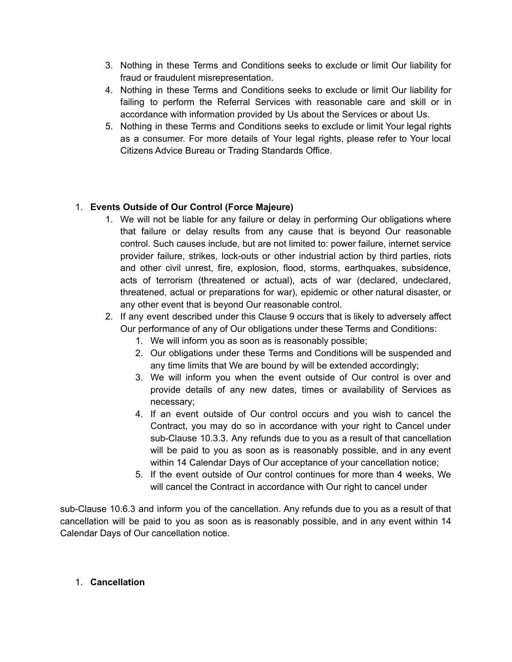- 3. Nothing in these Terms and Conditions seeks to exclude or limit Our liability for fraud or fraudulent misrepresentation.
- 4. Nothing in these Terms and Conditions seeks to exclude or limit Our liability for failing to perform the Referral Services with reasonable care and skill or in accordance with information provided by Us about the Services or about Us.
- 5. Nothing in these Terms and Conditions seeks to exclude or limit Your legal rights as a consumer. For more details of Your legal rights, please refer to Your local Citizens Advice Bureau or Trading Standards Office.

# 1. **Events Outside of Our Control (Force Majeure)**

- 1. We will not be liable for any failure or delay in performing Our obligations where that failure or delay results from any cause that is beyond Our reasonable control. Such causes include, but are not limited to: power failure, internet service provider failure, strikes, lock-outs or other industrial action by third parties, riots and other civil unrest, fire, explosion, flood, storms, earthquakes, subsidence, acts of terrorism (threatened or actual), acts of war (declared, undeclared, threatened, actual or preparations for war), epidemic or other natural disaster, or any other event that is beyond Our reasonable control.
- 2. If any event described under this Clause 9 occurs that is likely to adversely affect Our performance of any of Our obligations under these Terms and Conditions:
	- 1. We will inform you as soon as is reasonably possible;
	- 2. Our obligations under these Terms and Conditions will be suspended and any time limits that We are bound by will be extended accordingly;
	- 3. We will inform you when the event outside of Our control is over and provide details of any new dates, times or availability of Services as necessary;
	- 4. If an event outside of Our control occurs and you wish to cancel the Contract, you may do so in accordance with your right to Cancel under sub-Clause 10.3.3. Any refunds due to you as a result of that cancellation will be paid to you as soon as is reasonably possible, and in any event within 14 Calendar Days of Our acceptance of your cancellation notice;
	- 5. If the event outside of Our control continues for more than 4 weeks, We will cancel the Contract in accordance with Our right to cancel under

sub-Clause 10.6.3 and inform you of the cancellation. Any refunds due to you as a result of that cancellation will be paid to you as soon as is reasonably possible, and in any event within 14 Calendar Days of Our cancellation notice.

#### 1. **Cancellation**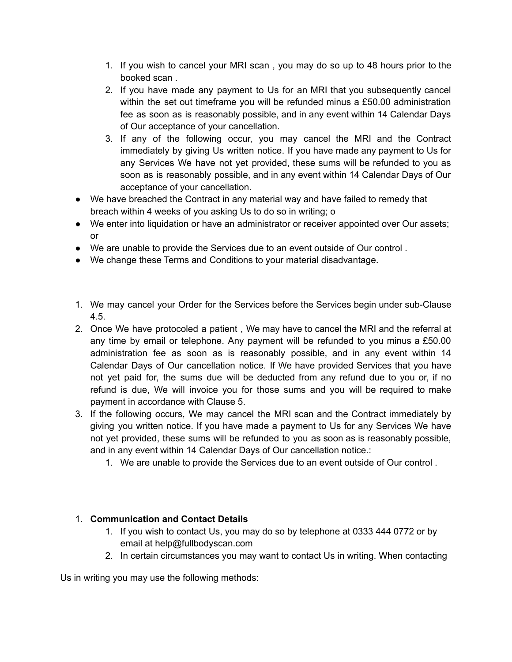- 1. If you wish to cancel your MRI scan , you may do so up to 48 hours prior to the booked scan .
- 2. If you have made any payment to Us for an MRI that you subsequently cancel within the set out timeframe you will be refunded minus a £50.00 administration fee as soon as is reasonably possible, and in any event within 14 Calendar Days of Our acceptance of your cancellation.
- 3. If any of the following occur, you may cancel the MRI and the Contract immediately by giving Us written notice. If you have made any payment to Us for any Services We have not yet provided, these sums will be refunded to you as soon as is reasonably possible, and in any event within 14 Calendar Days of Our acceptance of your cancellation.
- We have breached the Contract in any material way and have failed to remedy that breach within 4 weeks of you asking Us to do so in writing; o
- We enter into liquidation or have an administrator or receiver appointed over Our assets; or
- We are unable to provide the Services due to an event outside of Our control .
- We change these Terms and Conditions to your material disadvantage.
- 1. We may cancel your Order for the Services before the Services begin under sub-Clause 4.5.
- 2. Once We have protocoled a patient , We may have to cancel the MRI and the referral at any time by email or telephone. Any payment will be refunded to you minus a £50.00 administration fee as soon as is reasonably possible, and in any event within 14 Calendar Days of Our cancellation notice. If We have provided Services that you have not yet paid for, the sums due will be deducted from any refund due to you or, if no refund is due, We will invoice you for those sums and you will be required to make payment in accordance with Clause 5.
- 3. If the following occurs, We may cancel the MRI scan and the Contract immediately by giving you written notice. If you have made a payment to Us for any Services We have not yet provided, these sums will be refunded to you as soon as is reasonably possible, and in any event within 14 Calendar Days of Our cancellation notice.:
	- 1. We are unable to provide the Services due to an event outside of Our control .

# 1. **Communication and Contact Details**

- 1. If you wish to contact Us, you may do so by telephone at 0333 444 0772 or by email at help@fullbodyscan.com
- 2. In certain circumstances you may want to contact Us in writing. When contacting

Us in writing you may use the following methods: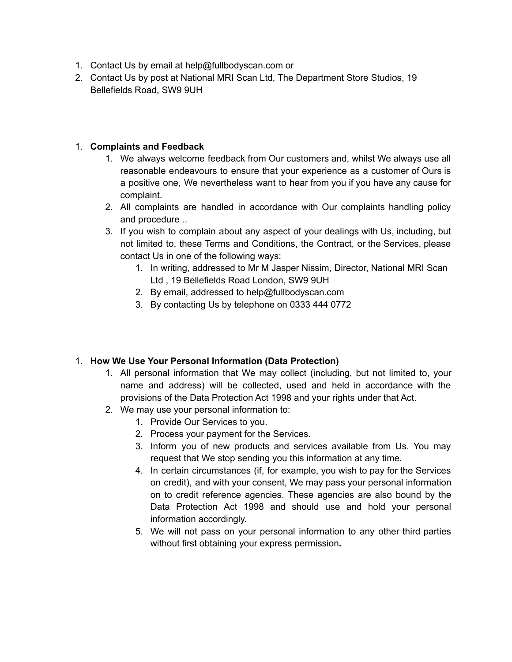- 1. Contact Us by email at help@fullbodyscan.com or
- 2. Contact Us by post at National MRI Scan Ltd, The Department Store Studios, 19 Bellefields Road, SW9 9UH

#### 1. **Complaints and Feedback**

- 1. We always welcome feedback from Our customers and, whilst We always use all reasonable endeavours to ensure that your experience as a customer of Ours is a positive one, We nevertheless want to hear from you if you have any cause for complaint.
- 2. All complaints are handled in accordance with Our complaints handling policy and procedure ..
- 3. If you wish to complain about any aspect of your dealings with Us, including, but not limited to, these Terms and Conditions, the Contract, or the Services, please contact Us in one of the following ways:
	- 1. In writing, addressed to Mr M Jasper Nissim, Director, National MRI Scan Ltd , 19 Bellefields Road London, SW9 9UH
	- 2. By email, addressed to help@fullbodyscan.com
	- 3. By contacting Us by telephone on 0333 444 0772

#### 1. **How We Use Your Personal Information (Data Protection)**

- 1. All personal information that We may collect (including, but not limited to, your name and address) will be collected, used and held in accordance with the provisions of the Data Protection Act 1998 and your rights under that Act.
- 2. We may use your personal information to:
	- 1. Provide Our Services to you.
	- 2. Process your payment for the Services.
	- 3. Inform you of new products and services available from Us. You may request that We stop sending you this information at any time.
	- 4. In certain circumstances (if, for example, you wish to pay for the Services on credit), and with your consent, We may pass your personal information on to credit reference agencies. These agencies are also bound by the Data Protection Act 1998 and should use and hold your personal information accordingly.
	- 5. We will not pass on your personal information to any other third parties without first obtaining your express permission**.**